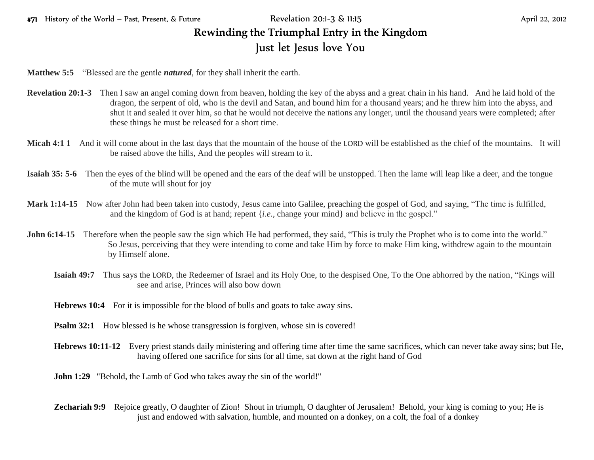## #71 History of the World – Past, Present, & Future Revelation 20:1-3 & 11:15 April 22, 2012 **Rewinding the Triumphal Entry in the Kingdom** Just let Jesus love You

**Matthew 5:5** "Blessed are the gentle *natured*, for they shall inherit the earth.

- **Revelation 20:1-3** Then I saw an angel coming down from heaven, holding the key of the abyss and a great chain in his hand. And he laid hold of the dragon, the serpent of old, who is the devil and Satan, and bound him for a thousand years; and he threw him into the abyss, and shut it and sealed it over him, so that he would not deceive the nations any longer, until the thousand years were completed; after these things he must be released for a short time.
- **Micah 4:1 1** And it will come about in the last days that the mountain of the house of the LORD will be established as the chief of the mountains. It will be raised above the hills, And the peoples will stream to it.
- **Isaiah 35: 5-6** Then the eyes of the blind will be opened and the ears of the deaf will be unstopped. Then the lame will leap like a deer, and the tongue of the mute will shout for joy
- **Mark 1:14-15** Now after John had been taken into custody, Jesus came into Galilee, preaching the gospel of God, and saying, "The time is fulfilled, and the kingdom of God is at hand; repent {*i.e.,* change your mind} and believe in the gospel."
- **John 6:14-15** Therefore when the people saw the sign which He had performed, they said, "This is truly the Prophet who is to come into the world." So Jesus, perceiving that they were intending to come and take Him by force to make Him king, withdrew again to the mountain by Himself alone.
	- **Isaiah 49:7** Thus says the LORD, the Redeemer of Israel and its Holy One, to the despised One, To the One abhorred by the nation, "Kings will see and arise, Princes will also bow down
	- **Hebrews 10:4** For it is impossible for the blood of bulls and goats to take away sins.
	- **Psalm 32:1** How blessed is he whose transgression is forgiven, whose sin is covered!
	- **Hebrews 10:11-12** Every priest stands daily ministering and offering time after time the same sacrifices, which can never take away sins; but He, having offered one sacrifice for sins for all time, sat down at the right hand of God
	- **John 1:29** "Behold, the Lamb of God who takes away the sin of the world!"
	- **Zechariah 9:9** Rejoice greatly, O daughter of Zion! Shout in triumph, O daughter of Jerusalem! Behold, your king is coming to you; He is just and endowed with salvation, humble, and mounted on a donkey, on a colt, the foal of a donkey